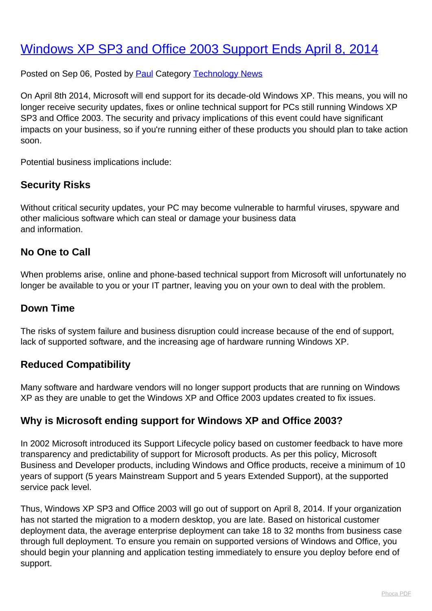# [Windows XP SP3 and Office 2003 Support Ends April 8, 2014](http://www.computerdoctor.com.au/news/windows-xp-sp3-and-office-2003-support-ends-april-8-2014)

Posted on Sep 06, Posted by [Paul](http://www.computerdoctor.com.au/news/blogger/listings/paul) Category [Technology News](http://www.computerdoctor.com.au/news/categories/technology-news)

On April 8th 2014, Microsoft will end support for its decade-old Windows XP. This means, you will no longer receive security updates, fixes or online technical support for PCs still running Windows XP SP3 and Office 2003. The security and privacy implications of this event could have significant impacts on your business, so if you're running either of these products you should plan to take action soon.

Potential business implications include:

## **Security Risks**

Without critical security updates, your PC may become vulnerable to harmful viruses, spyware and other malicious software which can steal or damage your business data and information.

#### **No One to Call**

When problems arise, online and phone-based technical support from Microsoft will unfortunately no longer be available to you or your IT partner, leaving you on your own to deal with the problem.

#### **Down Time**

The risks of system failure and business disruption could increase because of the end of support, lack of supported software, and the increasing age of hardware running Windows XP.

#### **Reduced Compatibility**

Many software and hardware vendors will no longer support products that are running on Windows XP as they are unable to get the Windows XP and Office 2003 updates created to fix issues.

#### **Why is Microsoft ending support for Windows XP and Office 2003?**

In 2002 Microsoft introduced its Support Lifecycle policy based on customer feedback to have more transparency and predictability of support for Microsoft products. As per this policy, Microsoft Business and Developer products, including Windows and Office products, receive a minimum of 10 years of support (5 years Mainstream Support and 5 years Extended Support), at the supported service pack level.

Thus, Windows XP SP3 and Office 2003 will go out of support on April 8, 2014. If your organization has not started the migration to a modern desktop, you are late. Based on historical customer deployment data, the average enterprise deployment can take 18 to 32 months from business case through full deployment. To ensure you remain on supported versions of Windows and Office, you should begin your planning and application testing immediately to ensure you deploy before end of support.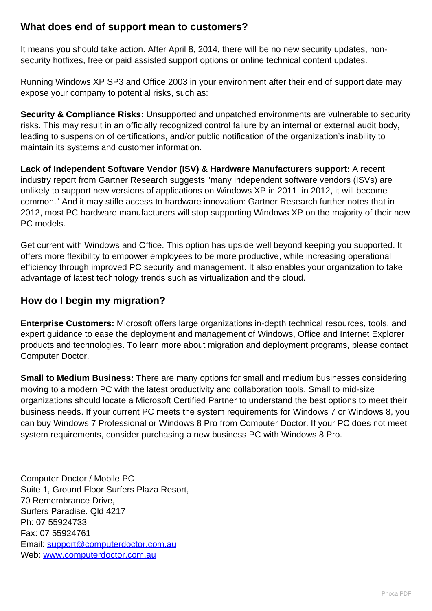### **What does end of support mean to customers?**

It means you should take action. After April 8, 2014, there will be no new security updates, nonsecurity hotfixes, free or paid assisted support options or online technical content updates.

Running Windows XP SP3 and Office 2003 in your environment after their end of support date may expose your company to potential risks, such as:

**Security & Compliance Risks:** Unsupported and unpatched environments are vulnerable to security risks. This may result in an officially recognized control failure by an internal or external audit body, leading to suspension of certifications, and/or public notification of the organization's inability to maintain its systems and customer information.

**Lack of Independent Software Vendor (ISV) & Hardware Manufacturers support:** A recent industry report from Gartner Research suggests "many independent software vendors (ISVs) are unlikely to support new versions of applications on Windows XP in 2011; in 2012, it will become common." And it may stifle access to hardware innovation: Gartner Research further notes that in 2012, most PC hardware manufacturers will stop supporting Windows XP on the majority of their new PC models.

Get current with Windows and Office. This option has upside well beyond keeping you supported. It offers more flexibility to empower employees to be more productive, while increasing operational efficiency through improved PC security and management. It also enables your organization to take advantage of latest technology trends such as virtualization and the cloud.

## **How do I begin my migration?**

**Enterprise Customers:** Microsoft offers large organizations in-depth technical resources, tools, and expert guidance to ease the deployment and management of Windows, Office and Internet Explorer products and technologies. To learn more about migration and deployment programs, please contact Computer Doctor.

**Small to Medium Business:** There are many options for small and medium businesses considering moving to a modern PC with the latest productivity and collaboration tools. Small to mid-size organizations should locate a Microsoft Certified Partner to understand the best options to meet their business needs. If your current PC meets the system requirements for Windows 7 or Windows 8, you can buy Windows 7 Professional or Windows 8 Pro from Computer Doctor. If your PC does not meet system requirements, consider purchasing a new business PC with Windows 8 Pro.

Computer Doctor / Mobile PC Suite 1, Ground Floor Surfers Plaza Resort, 70 Remembrance Drive, Surfers Paradise. Qld 4217 Ph: 07 55924733 Fax: 07 55924761 Email: [support@computerdoctor.com.au](mailto:support@computerdoctor.com.au) Web: [www.computerdoctor.com.au](http://www.computerdoctor.com.au)